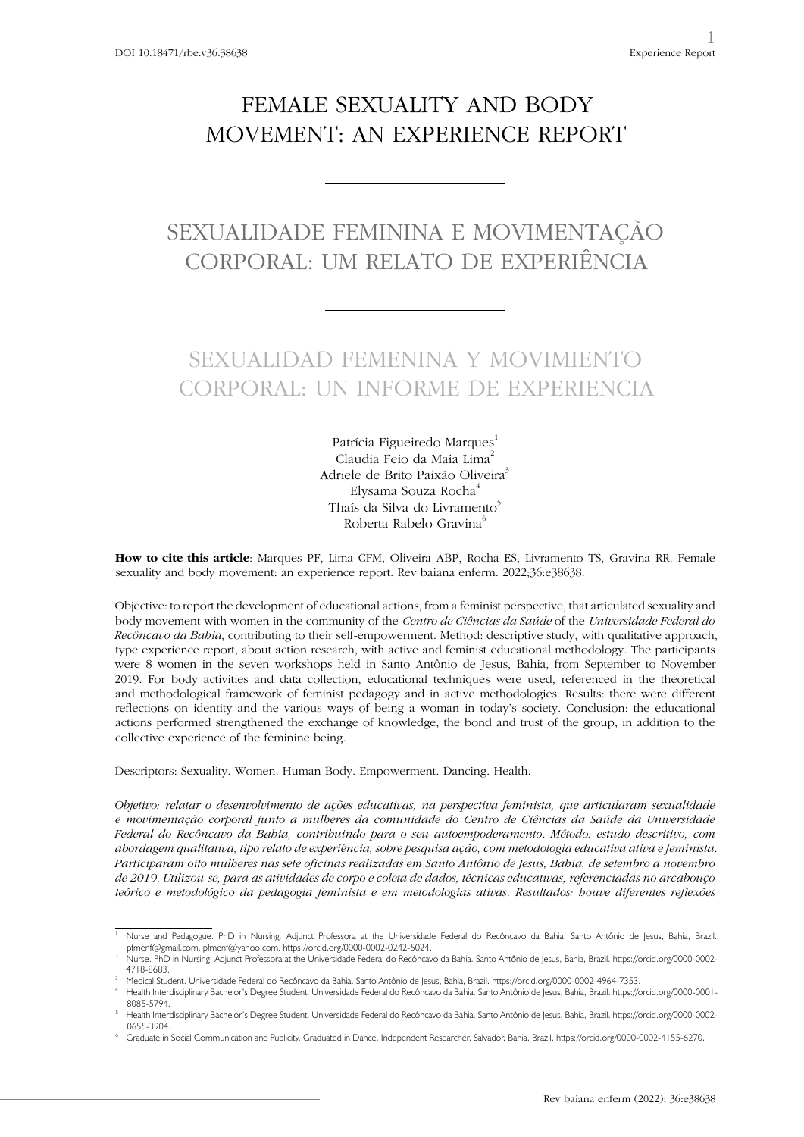### FEMALE SEXUALITY AND BODY MOVEMENT: AN EXPERIENCE REPORT

# SEXUALIDADE FEMININA E MOVIMENTAÇÃO CORPORAL: UM RELATO DE EXPERIÊNCIA

## SEXUALIDAD FEMENINA Y MOVIMIENTO CORPORAL: UN INFORME DE EXPERIENCIA

Patrícia Figueiredo Marques<sup>1</sup> Claudia Feio da Maia Lima $<sup>2</sup>$ </sup> Adriele de Brito Paixão Oliveira<sup>3</sup> Elysama Souza Rocha<sup>4</sup> Thaís da Silva do Livramento<sup>5</sup> Roberta Rabelo Gravina<sup>6</sup>

**How to cite this article**: Marques PF, Lima CFM, Oliveira ABP, Rocha ES, Livramento TS, Gravina RR. Female sexuality and body movement: an experience report. Rev baiana enferm. 2022;36:e38638.

Objective: to report the development of educational actions, from a feminist perspective, that articulated sexuality and body movement with women in the community of the *Centro de Ciências da Saúde* of the *Universidade Federal do Recôncavo da Bahia*, contributing to their self-empowerment. Method: descriptive study, with qualitative approach, type experience report, about action research, with active and feminist educational methodology. The participants were 8 women in the seven workshops held in Santo Antônio de Jesus, Bahia, from September to November 2019. For body activities and data collection, educational techniques were used, referenced in the theoretical and methodological framework of feminist pedagogy and in active methodologies. Results: there were different reflections on identity and the various ways of being a woman in today's society. Conclusion: the educational actions performed strengthened the exchange of knowledge, the bond and trust of the group, in addition to the collective experience of the feminine being.

Descriptors: Sexuality. Women. Human Body. Empowerment. Dancing. Health.

*Objetivo: relatar o desenvolvimento de ações educativas, na perspectiva feminista, que articularam sexualidade e movimentação corporal junto a mulheres da comunidade do Centro de Ciências da Saúde da Universidade Federal do Recôncavo da Bahia, contribuindo para o seu autoempoderamento. Método: estudo descritivo, com abordagem qualitativa, tipo relato de experiência, sobre pesquisa ação, com metodologia educativa ativa e feminista. Participaram oito mulheres nas sete oficinas realizadas em Santo Antônio de Jesus, Bahia, de setembro a novembro de 2019. Utilizou-se, para as atividades de corpo e coleta de dados, técnicas educativas, referenciadas no arcabouço teórico e metodológico da pedagogia feminista e em metodologias ativas. Resultados: houve diferentes reflexões* 

<sup>1</sup> Nurse and Pedagogue. PhD in Nursing. Adjunct Professora at the Universidade Federal do Recôncavo da Bahia. Santo Antônio de Jesus, Bahia, Brazil. pfmenf@gmail.com. pfmenf@yahoo.com. https://orcid.org/0000-0002-0242-5024.

<sup>2</sup> Nurse. PhD in Nursing. Adjunct Professora at the Universidade Federal do Recôncavo da Bahia. Santo Antônio de Jesus, Bahia, Brazil. https://orcid.org/0000-0002- 4718-8683.

Medical Student. Universidade Federal do Recôncavo da Bahia. Santo Antônio de Jesus, Bahia, Brazil. https://orcid.org/0000-0002-4964-7353.

<sup>4</sup> Health Interdisciplinary Bachelor's Degree Student. Universidade Federal do Recôncavo da Bahia. Santo Antônio de Jesus, Bahia, Brazil. https://orcid.org/0000-0001- 8085-5794.

<sup>5</sup> Health Interdisciplinary Bachelor's Degree Student. Universidade Federal do Recôncavo da Bahia. Santo Antônio de Jesus, Bahia, Brazil. https://orcid.org/0000-0002- 0655-3904.

<sup>6</sup> Graduate in Social Communication and Publicity. Graduated in Dance. Independent Researcher. Salvador, Bahia, Brazil. https://orcid.org/0000-0002-4155-6270.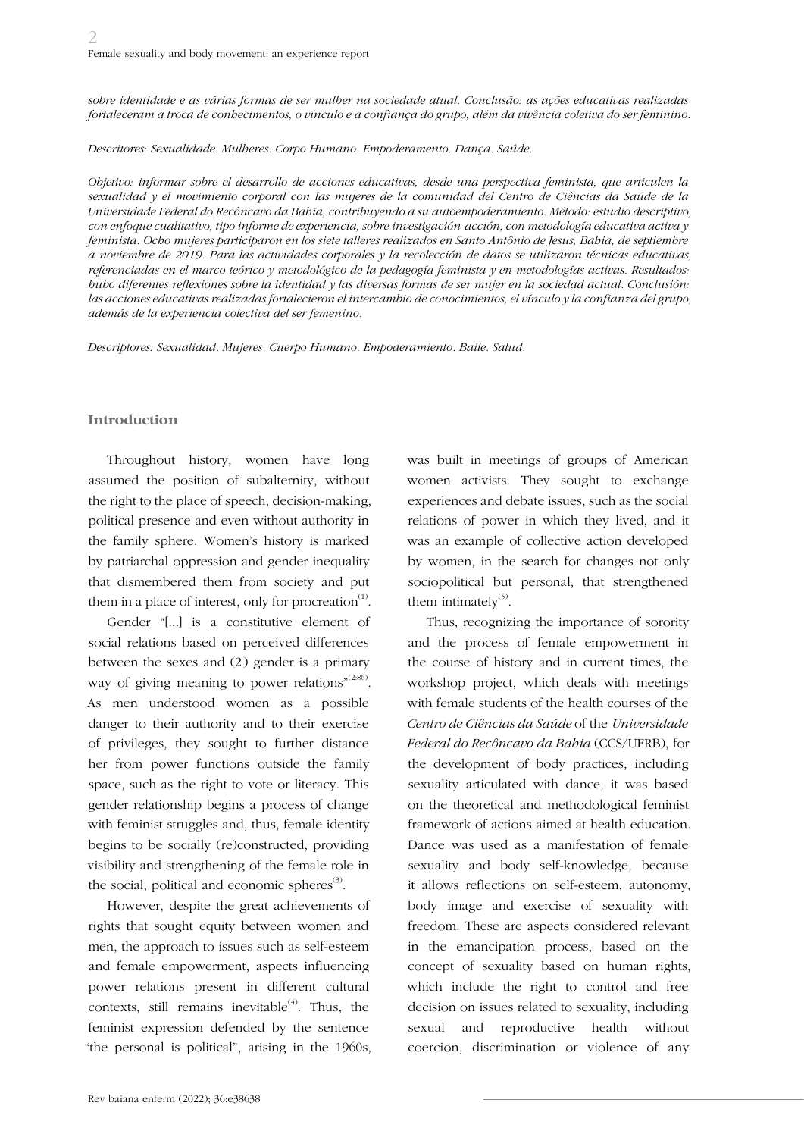*sobre identidade e as várias formas de ser mulher na sociedade atual. Conclusão: as ações educativas realizadas fortaleceram a troca de conhecimentos, o vínculo e a confiança do grupo, além da vivência coletiva do ser feminino.*

*Descritores: Sexualidade. Mulheres. Corpo Humano. Empoderamento. Dança. Saúde.*

*Objetivo: informar sobre el desarrollo de acciones educativas, desde una perspectiva feminista, que articulen la sexualidad y el movimiento corporal con las mujeres de la comunidad del Centro de Ciências da Saúde de la Universidade Federal do Recôncavo da Bahia, contribuyendo a su autoempoderamiento. Método: estudio descriptivo, con enfoque cualitativo, tipo informe de experiencia, sobre investigación-acción, con metodología educativa activa y feminista. Ocho mujeres participaron en los siete talleres realizados en Santo Antônio de Jesus, Bahia, de septiembre a noviembre de 2019. Para las actividades corporales y la recolección de datos se utilizaron técnicas educativas, referenciadas en el marco teórico y metodológico de la pedagogía feminista y en metodologías activas. Resultados: hubo diferentes reflexiones sobre la identidad y las diversas formas de ser mujer en la sociedad actual. Conclusión: las acciones educativas realizadas fortalecieron el intercambio de conocimientos, el vínculo y la confianza del grupo, además de la experiencia colectiva del ser femenino.*

*Descriptores: Sexualidad. Mujeres. Cuerpo Humano. Empoderamiento. Baile. Salud.*

#### **Introduction**

Throughout history, women have long assumed the position of subalternity, without the right to the place of speech, decision-making, political presence and even without authority in the family sphere. Women's history is marked by patriarchal oppression and gender inequality that dismembered them from society and put them in a place of interest, only for procreation $<sup>(1)</sup>$ .</sup>

Gender "[...] is a constitutive element of social relations based on perceived differences between the sexes and (2) gender is a primary way of giving meaning to power relations"<sup>(2:86)</sup>. As men understood women as a possible danger to their authority and to their exercise of privileges, they sought to further distance her from power functions outside the family space, such as the right to vote or literacy. This gender relationship begins a process of change with feminist struggles and, thus, female identity begins to be socially (re)constructed, providing visibility and strengthening of the female role in the social, political and economic spheres $^{(3)}$ .

However, despite the great achievements of rights that sought equity between women and men, the approach to issues such as self-esteem and female empowerment, aspects influencing power relations present in different cultural contexts, still remains inevitable<sup> $(4)$ </sup>. Thus, the feminist expression defended by the sentence "the personal is political", arising in the 1960s, was built in meetings of groups of American women activists. They sought to exchange experiences and debate issues, such as the social relations of power in which they lived, and it was an example of collective action developed by women, in the search for changes not only sociopolitical but personal, that strengthened them intimately $<sup>(5)</sup>$ .</sup>

Thus, recognizing the importance of sorority and the process of female empowerment in the course of history and in current times, the workshop project, which deals with meetings with female students of the health courses of the *Centro de Ciências da Saúde* of the *Universidade Federal do Recôncavo da Bahia* (CCS/UFRB), for the development of body practices, including sexuality articulated with dance, it was based on the theoretical and methodological feminist framework of actions aimed at health education. Dance was used as a manifestation of female sexuality and body self-knowledge, because it allows reflections on self-esteem, autonomy, body image and exercise of sexuality with freedom. These are aspects considered relevant in the emancipation process, based on the concept of sexuality based on human rights, which include the right to control and free decision on issues related to sexuality, including sexual and reproductive health without coercion, discrimination or violence of any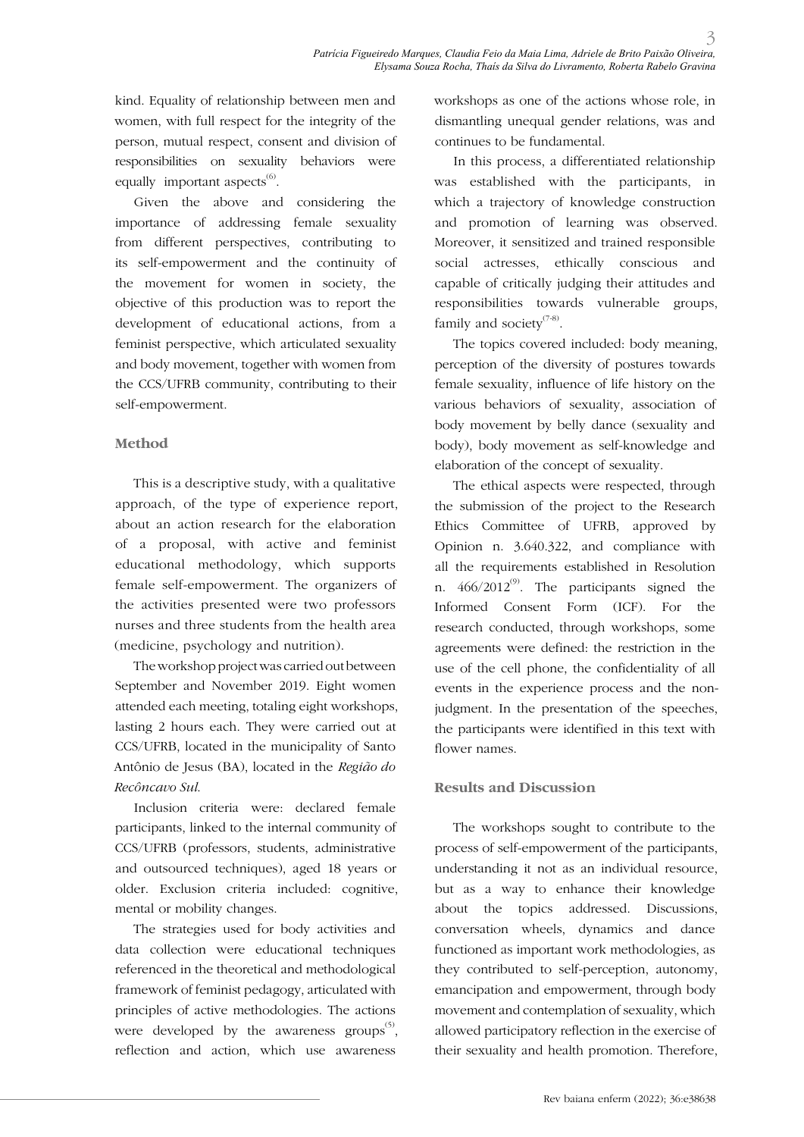kind. Equality of relationship between men and women, with full respect for the integrity of the person, mutual respect, consent and division of responsibilities on sexuality behaviors were equally important aspects<sup>(6)</sup>.

Given the above and considering the importance of addressing female sexuality from different perspectives, contributing to its self-empowerment and the continuity of the movement for women in society, the objective of this production was to report the development of educational actions, from a feminist perspective, which articulated sexuality and body movement, together with women from the CCS/UFRB community, contributing to their self-empowerment.

### **Method**

This is a descriptive study, with a qualitative approach, of the type of experience report, about an action research for the elaboration of a proposal, with active and feminist educational methodology, which supports female self-empowerment. The organizers of the activities presented were two professors nurses and three students from the health area (medicine, psychology and nutrition).

The workshop project was carried out between September and November 2019. Eight women attended each meeting, totaling eight workshops, lasting 2 hours each. They were carried out at CCS/UFRB, located in the municipality of Santo Antônio de Jesus (BA), located in the *Região do Recôncavo Sul*.

Inclusion criteria were: declared female participants, linked to the internal community of CCS/UFRB (professors, students, administrative and outsourced techniques), aged 18 years or older. Exclusion criteria included: cognitive, mental or mobility changes.

The strategies used for body activities and data collection were educational techniques referenced in the theoretical and methodological framework of feminist pedagogy, articulated with principles of active methodologies. The actions were developed by the awareness groups<sup> $(5)$ </sup>, reflection and action, which use awareness workshops as one of the actions whose role, in dismantling unequal gender relations, was and continues to be fundamental.

In this process, a differentiated relationship was established with the participants, in which a trajectory of knowledge construction and promotion of learning was observed. Moreover, it sensitized and trained responsible social actresses, ethically conscious and capable of critically judging their attitudes and responsibilities towards vulnerable groups, family and society $(7-8)$ .

The topics covered included: body meaning, perception of the diversity of postures towards female sexuality, influence of life history on the various behaviors of sexuality, association of body movement by belly dance (sexuality and body), body movement as self-knowledge and elaboration of the concept of sexuality.

The ethical aspects were respected, through the submission of the project to the Research Ethics Committee of UFRB, approved by Opinion n. 3.640.322, and compliance with all the requirements established in Resolution n.  $466/2012^{\circ}$ . The participants signed the Informed Consent Form (ICF). For the research conducted, through workshops, some agreements were defined: the restriction in the use of the cell phone, the confidentiality of all events in the experience process and the nonjudgment. In the presentation of the speeches, the participants were identified in this text with flower names.

### **Results and Discussion**

The workshops sought to contribute to the process of self-empowerment of the participants, understanding it not as an individual resource, but as a way to enhance their knowledge about the topics addressed. Discussions, conversation wheels, dynamics and dance functioned as important work methodologies, as they contributed to self-perception, autonomy, emancipation and empowerment, through body movement and contemplation of sexuality, which allowed participatory reflection in the exercise of their sexuality and health promotion. Therefore,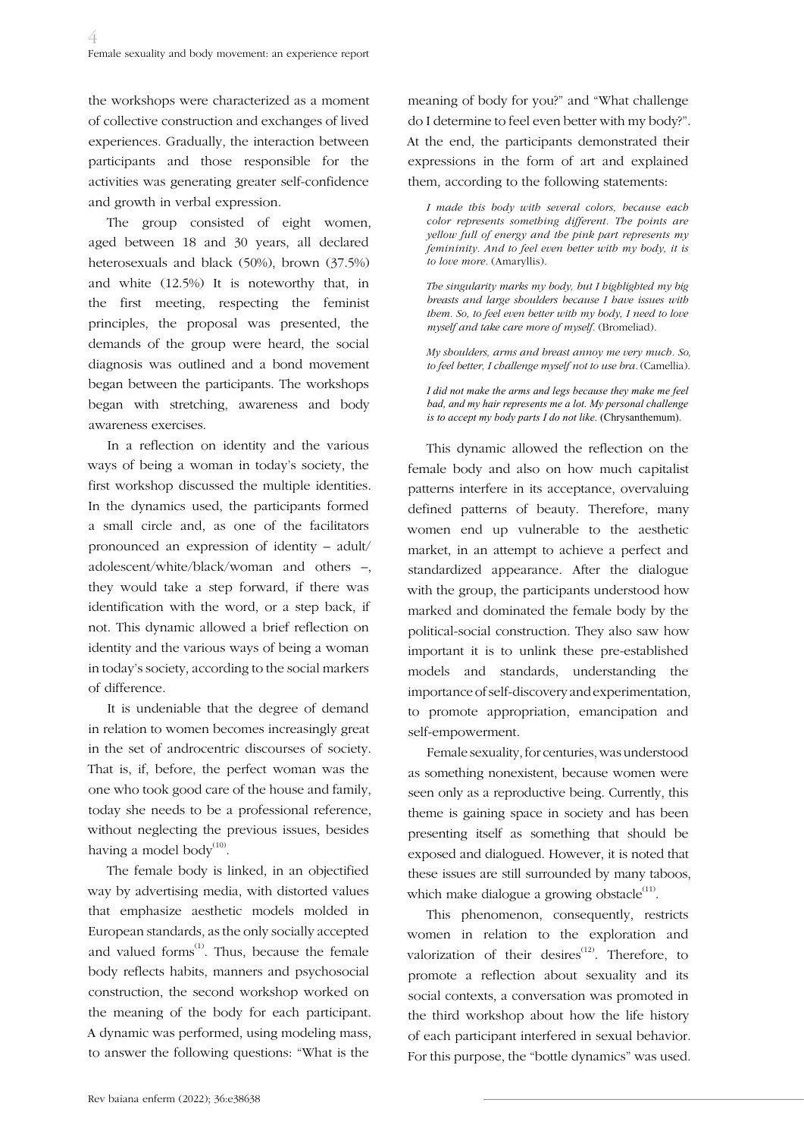the workshops were characterized as a moment of collective construction and exchanges of lived experiences. Gradually, the interaction between participants and those responsible for the activities was generating greater self-confidence and growth in verbal expression.

The group consisted of eight women, aged between 18 and 30 years, all declared heterosexuals and black (50%), brown (37.5%) and white (12.5%) It is noteworthy that, in the first meeting, respecting the feminist principles, the proposal was presented, the demands of the group were heard, the social diagnosis was outlined and a bond movement began between the participants. The workshops began with stretching, awareness and body awareness exercises.

In a reflection on identity and the various ways of being a woman in today's society, the first workshop discussed the multiple identities. In the dynamics used, the participants formed a small circle and, as one of the facilitators pronounced an expression of identity – adult/ adolescent/white/black/woman and others –, they would take a step forward, if there was identification with the word, or a step back, if not. This dynamic allowed a brief reflection on identity and the various ways of being a woman in today's society, according to the social markers of difference.

It is undeniable that the degree of demand in relation to women becomes increasingly great in the set of androcentric discourses of society. That is, if, before, the perfect woman was the one who took good care of the house and family, today she needs to be a professional reference, without neglecting the previous issues, besides having a model body<sup>(10)</sup>.

The female body is linked, in an objectified way by advertising media, with distorted values that emphasize aesthetic models molded in European standards, as the only socially accepted and valued forms $^{(1)}$ . Thus, because the female body reflects habits, manners and psychosocial construction, the second workshop worked on the meaning of the body for each participant. A dynamic was performed, using modeling mass, to answer the following questions: "What is the

meaning of body for you?" and "What challenge do I determine to feel even better with my body?". At the end, the participants demonstrated their expressions in the form of art and explained them, according to the following statements:

*I made this body with several colors, because each color represents something different. The points are yellow full of energy and the pink part represents my femininity. And to feel even better with my body, it is to love more.* (Amaryllis).

*The singularity marks my body, but I highlighted my big breasts and large shoulders because I have issues with them. So, to feel even better with my body, I need to love myself and take care more of myself.* (Bromeliad).

*My shoulders, arms and breast annoy me very much. So, to feel better, I challenge myself not to use bra.* (Camellia).

*I did not make the arms and legs because they make me feel bad, and my hair represents me a lot. My personal challenge is to accept my body parts I do not like.* (Chrysanthemum).

This dynamic allowed the reflection on the female body and also on how much capitalist patterns interfere in its acceptance, overvaluing defined patterns of beauty. Therefore, many women end up vulnerable to the aesthetic market, in an attempt to achieve a perfect and standardized appearance. After the dialogue with the group, the participants understood how marked and dominated the female body by the political-social construction. They also saw how important it is to unlink these pre-established models and standards, understanding the importance of self-discovery and experimentation, to promote appropriation, emancipation and self-empowerment.

Female sexuality, for centuries, was understood as something nonexistent, because women were seen only as a reproductive being. Currently, this theme is gaining space in society and has been presenting itself as something that should be exposed and dialogued. However, it is noted that these issues are still surrounded by many taboos, which make dialogue a growing obstacle $^{(11)}$ .

This phenomenon, consequently, restricts women in relation to the exploration and valorization of their desires $(12)$ . Therefore, to promote a reflection about sexuality and its social contexts, a conversation was promoted in the third workshop about how the life history of each participant interfered in sexual behavior. For this purpose, the "bottle dynamics" was used.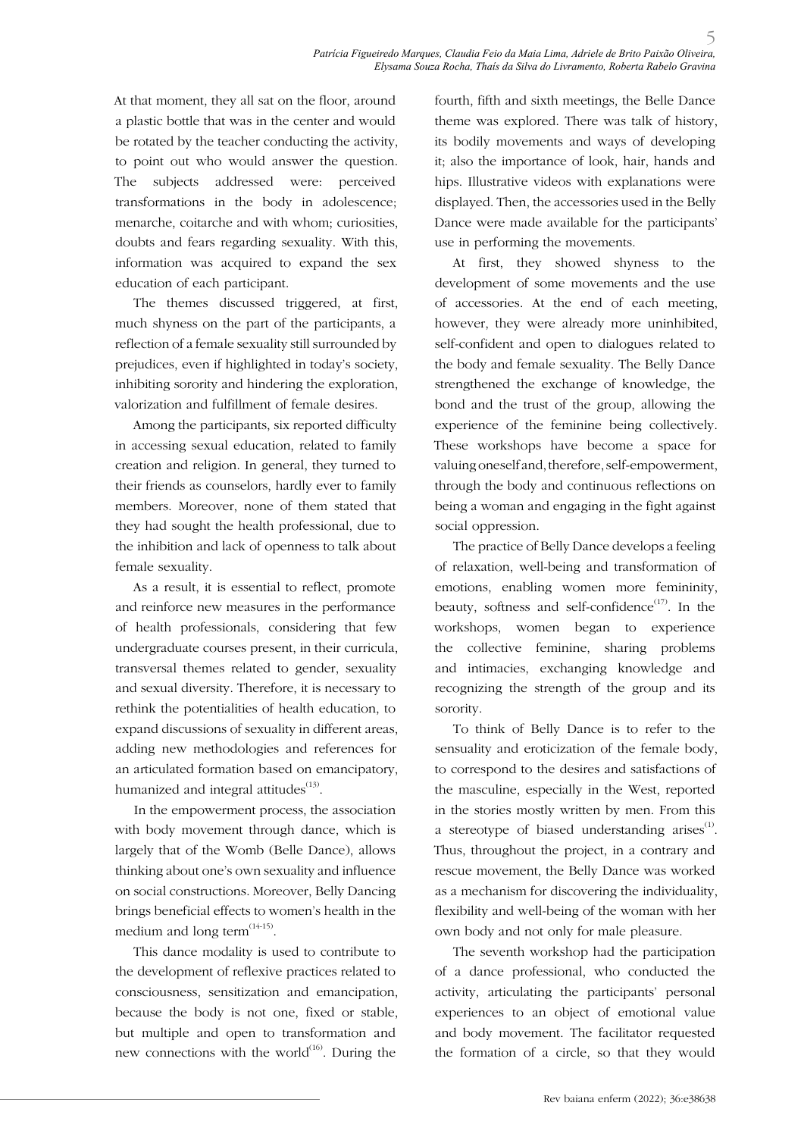At that moment, they all sat on the floor, around a plastic bottle that was in the center and would be rotated by the teacher conducting the activity, to point out who would answer the question. The subjects addressed were: perceived transformations in the body in adolescence; menarche, coitarche and with whom; curiosities, doubts and fears regarding sexuality. With this, information was acquired to expand the sex education of each participant.

The themes discussed triggered, at first, much shyness on the part of the participants, a reflection of a female sexuality still surrounded by prejudices, even if highlighted in today's society, inhibiting sorority and hindering the exploration, valorization and fulfillment of female desires.

Among the participants, six reported difficulty in accessing sexual education, related to family creation and religion. In general, they turned to their friends as counselors, hardly ever to family members. Moreover, none of them stated that they had sought the health professional, due to the inhibition and lack of openness to talk about female sexuality.

As a result, it is essential to reflect, promote and reinforce new measures in the performance of health professionals, considering that few undergraduate courses present, in their curricula, transversal themes related to gender, sexuality and sexual diversity. Therefore, it is necessary to rethink the potentialities of health education, to expand discussions of sexuality in different areas, adding new methodologies and references for an articulated formation based on emancipatory, humanized and integral attitudes $(13)$ .

In the empowerment process, the association with body movement through dance, which is largely that of the Womb (Belle Dance), allows thinking about one's own sexuality and influence on social constructions. Moreover, Belly Dancing brings beneficial effects to women's health in the medium and long term $(14-15)$ .

This dance modality is used to contribute to the development of reflexive practices related to consciousness, sensitization and emancipation, because the body is not one, fixed or stable, but multiple and open to transformation and new connections with the world $^{(16)}$ . During the

fourth, fifth and sixth meetings, the Belle Dance theme was explored. There was talk of history, its bodily movements and ways of developing it; also the importance of look, hair, hands and hips. Illustrative videos with explanations were displayed. Then, the accessories used in the Belly Dance were made available for the participants' use in performing the movements.

5

At first, they showed shyness to the development of some movements and the use of accessories. At the end of each meeting, however, they were already more uninhibited, self-confident and open to dialogues related to the body and female sexuality. The Belly Dance strengthened the exchange of knowledge, the bond and the trust of the group, allowing the experience of the feminine being collectively. These workshops have become a space for valuing oneself and, therefore, self-empowerment, through the body and continuous reflections on being a woman and engaging in the fight against social oppression.

The practice of Belly Dance develops a feeling of relaxation, well-being and transformation of emotions, enabling women more femininity, beauty, softness and self-confidence<sup> $(17)$ </sup>. In the workshops, women began to experience the collective feminine, sharing problems and intimacies, exchanging knowledge and recognizing the strength of the group and its sorority.

To think of Belly Dance is to refer to the sensuality and eroticization of the female body, to correspond to the desires and satisfactions of the masculine, especially in the West, reported in the stories mostly written by men. From this a stereotype of biased understanding arises $^{(1)}$ . Thus, throughout the project, in a contrary and rescue movement, the Belly Dance was worked as a mechanism for discovering the individuality, flexibility and well-being of the woman with her own body and not only for male pleasure.

The seventh workshop had the participation of a dance professional, who conducted the activity, articulating the participants' personal experiences to an object of emotional value and body movement. The facilitator requested the formation of a circle, so that they would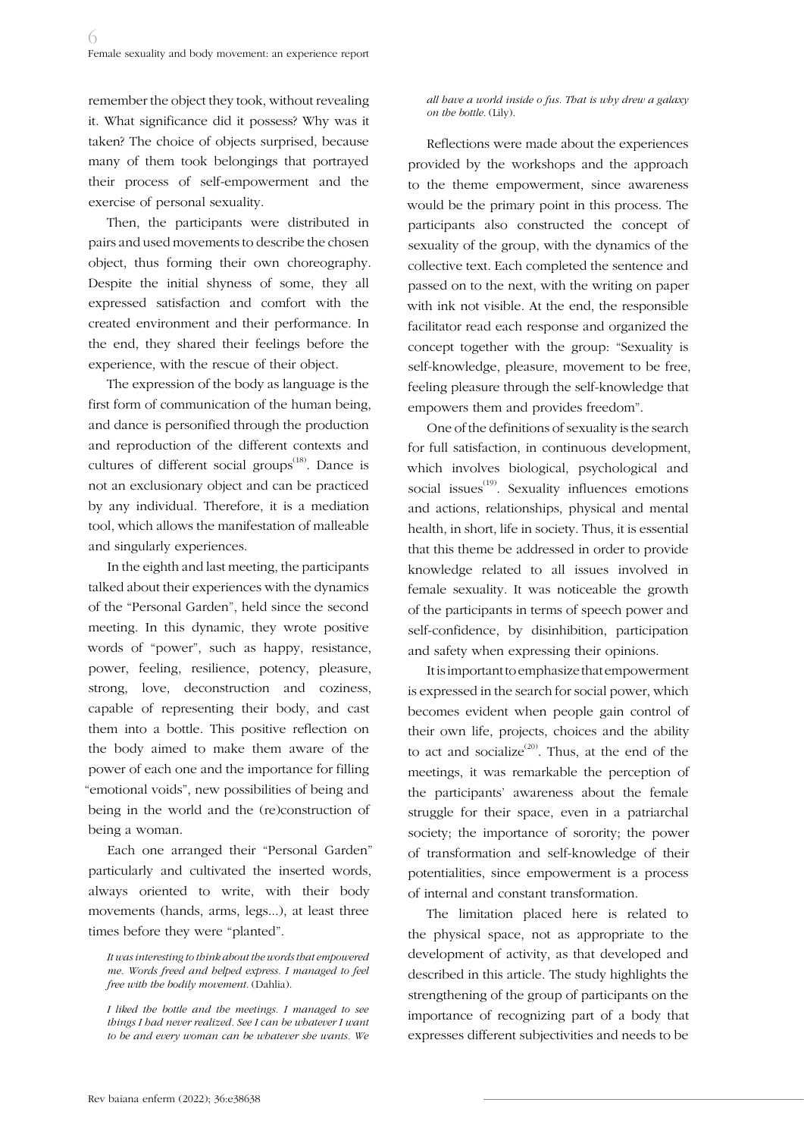remember the object they took, without revealing it. What significance did it possess? Why was it taken? The choice of objects surprised, because many of them took belongings that portrayed their process of self-empowerment and the exercise of personal sexuality.

Then, the participants were distributed in pairs and used movements to describe the chosen object, thus forming their own choreography. Despite the initial shyness of some, they all expressed satisfaction and comfort with the created environment and their performance. In the end, they shared their feelings before the experience, with the rescue of their object.

The expression of the body as language is the first form of communication of the human being, and dance is personified through the production and reproduction of the different contexts and cultures of different social groups<sup> $(18)$ </sup>. Dance is not an exclusionary object and can be practiced by any individual. Therefore, it is a mediation tool, which allows the manifestation of malleable and singularly experiences.

In the eighth and last meeting, the participants talked about their experiences with the dynamics of the "Personal Garden", held since the second meeting. In this dynamic, they wrote positive words of "power", such as happy, resistance, power, feeling, resilience, potency, pleasure, strong, love, deconstruction and coziness, capable of representing their body, and cast them into a bottle. This positive reflection on the body aimed to make them aware of the power of each one and the importance for filling "emotional voids", new possibilities of being and being in the world and the (re)construction of being a woman.

Each one arranged their "Personal Garden" particularly and cultivated the inserted words, always oriented to write, with their body movements (hands, arms, legs...), at least three times before they were "planted".

*all have a world inside o fus. That is why drew a galaxy on the bottle.* (Lily).

Reflections were made about the experiences provided by the workshops and the approach to the theme empowerment, since awareness would be the primary point in this process. The participants also constructed the concept of sexuality of the group, with the dynamics of the collective text. Each completed the sentence and passed on to the next, with the writing on paper with ink not visible. At the end, the responsible facilitator read each response and organized the concept together with the group: "Sexuality is self-knowledge, pleasure, movement to be free, feeling pleasure through the self-knowledge that empowers them and provides freedom".

One of the definitions of sexuality is the search for full satisfaction, in continuous development, which involves biological, psychological and social issues $^{(19)}$ . Sexuality influences emotions and actions, relationships, physical and mental health, in short, life in society. Thus, it is essential that this theme be addressed in order to provide knowledge related to all issues involved in female sexuality. It was noticeable the growth of the participants in terms of speech power and self-confidence, by disinhibition, participation and safety when expressing their opinions.

It is important to emphasize that empowerment is expressed in the search for social power, which becomes evident when people gain control of their own life, projects, choices and the ability to act and socialize<sup> $(20)$ </sup>. Thus, at the end of the meetings, it was remarkable the perception of the participants' awareness about the female struggle for their space, even in a patriarchal society; the importance of sorority; the power of transformation and self-knowledge of their potentialities, since empowerment is a process of internal and constant transformation.

The limitation placed here is related to the physical space, not as appropriate to the development of activity, as that developed and described in this article. The study highlights the strengthening of the group of participants on the importance of recognizing part of a body that expresses different subjectivities and needs to be

*It was interesting to think about the words that empowered me. Words freed and helped express. I managed to feel free with the bodily movement.* (Dahlia).

*I liked the bottle and the meetings. I managed to see things I had never realized. See I can be whatever I want to be and every woman can be whatever she wants. We*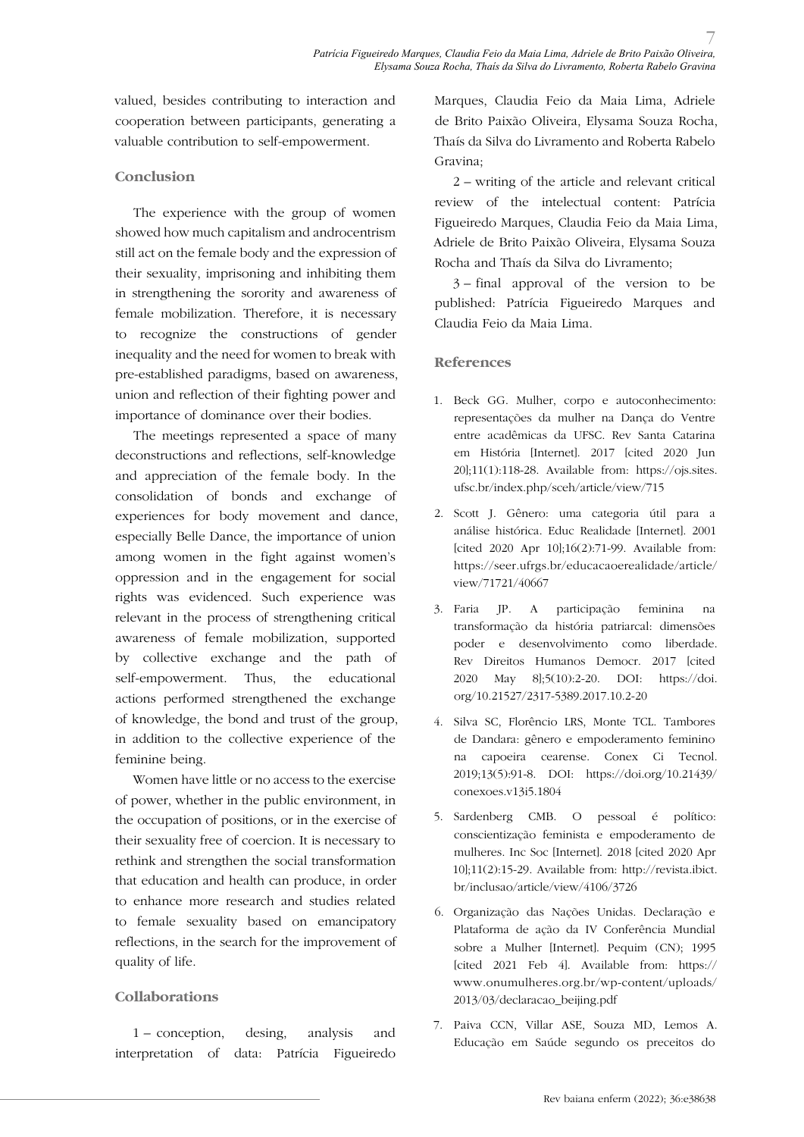valued, besides contributing to interaction and cooperation between participants, generating a valuable contribution to self-empowerment.

### **Conclusion**

The experience with the group of women showed how much capitalism and androcentrism still act on the female body and the expression of their sexuality, imprisoning and inhibiting them in strengthening the sorority and awareness of female mobilization. Therefore, it is necessary to recognize the constructions of gender inequality and the need for women to break with pre-established paradigms, based on awareness, union and reflection of their fighting power and importance of dominance over their bodies.

The meetings represented a space of many deconstructions and reflections, self-knowledge and appreciation of the female body. In the consolidation of bonds and exchange of experiences for body movement and dance, especially Belle Dance, the importance of union among women in the fight against women's oppression and in the engagement for social rights was evidenced. Such experience was relevant in the process of strengthening critical awareness of female mobilization, supported by collective exchange and the path of self-empowerment. Thus, the educational actions performed strengthened the exchange of knowledge, the bond and trust of the group, in addition to the collective experience of the feminine being.

Women have little or no access to the exercise of power, whether in the public environment, in the occupation of positions, or in the exercise of their sexuality free of coercion. It is necessary to rethink and strengthen the social transformation that education and health can produce, in order to enhance more research and studies related to female sexuality based on emancipatory reflections, in the search for the improvement of quality of life.

### **Collaborations**

1 – conception, desing, analysis and interpretation of data: Patrícia Figueiredo Marques, Claudia Feio da Maia Lima, Adriele de Brito Paixão Oliveira, Elysama Souza Rocha, Thaís da Silva do Livramento and Roberta Rabelo Gravina;

2 – writing of the article and relevant critical review of the intelectual content: Patrícia Figueiredo Marques, Claudia Feio da Maia Lima, Adriele de Brito Paixão Oliveira, Elysama Souza Rocha and Thaís da Silva do Livramento;

3 – final approval of the version to be published: Patrícia Figueiredo Marques and Claudia Feio da Maia Lima.

### **References**

- 1. Beck GG. Mulher, corpo e autoconhecimento: representações da mulher na Dança do Ventre entre acadêmicas da UFSC. Rev Santa Catarina em História [Internet]. 2017 [cited 2020 Jun 20];11(1):118-28. Available from: https://ojs.sites. ufsc.br/index.php/sceh/article/view/715
- 2. Scott J. Gênero: uma categoria útil para a análise histórica. Educ Realidade [Internet]. 2001 [cited 2020 Apr 10];16(2):71-99. Available from: https://seer.ufrgs.br/educacaoerealidade/article/ view/71721/40667
- 3. Faria JP. A participação feminina na transformação da história patriarcal: dimensões poder e desenvolvimento como liberdade. Rev Direitos Humanos Democr. 2017 [cited 2020 May 8];5(10):2-20. DOI: https://doi. org/10.21527/2317-5389.2017.10.2-20
- 4. Silva SC, Florêncio LRS, Monte TCL. Tambores de Dandara: gênero e empoderamento feminino na capoeira cearense. Conex Ci Tecnol. 2019;13(5):91-8. DOI: https://doi.org/10.21439/ conexoes.v13i5.1804
- 5. Sardenberg CMB. O pessoal é político: conscientização feminista e empoderamento de mulheres. Inc Soc [Internet]. 2018 [cited 2020 Apr 10];11(2):15-29. Available from: http://revista.ibict. br/inclusao/article/view/4106/3726
- 6. Organização das Nações Unidas. Declaração e Plataforma de ação da IV Conferência Mundial sobre a Mulher [Internet]. Pequim (CN); 1995 [cited 2021 Feb 4]. Available from: https:// www.onumulheres.org.br/wp-content/uploads/ 2013/03/declaracao\_beijing.pdf
- 7. Paiva CCN, Villar ASE, Souza MD, Lemos A. Educação em Saúde segundo os preceitos do